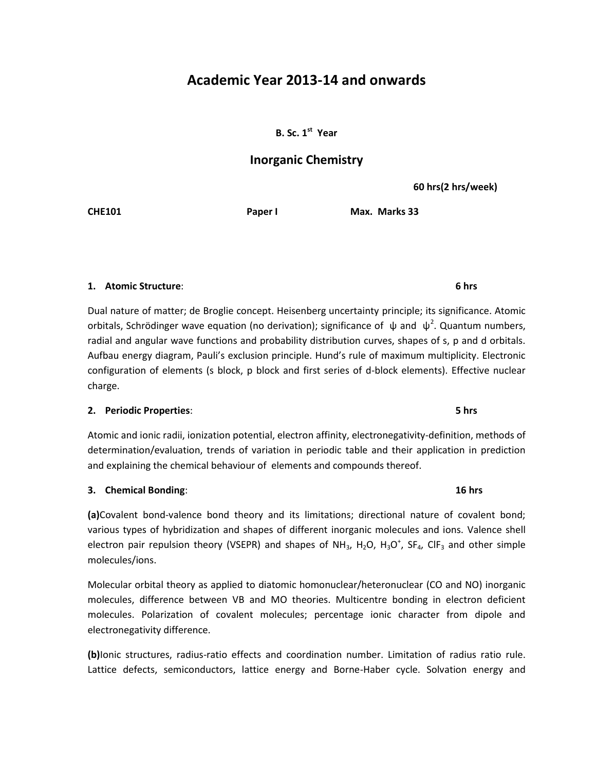# **Academic Year 2013-14 and onwards**

**B. Sc.** 1<sup>st</sup> Year

# **Inorganic Chemistry**

**60 hrs(2 hrs/week)**

**CHE101 Paper I Max. Marks 33**

# **1. Atomic Structure**: **6 hrs**

Dual nature of matter; de Broglie concept. Heisenberg uncertainty principle; its significance. Atomic orbitals, Schrödinger wave equation (no derivation); significance of  $\psi$  and  $\psi^2$ . Quantum numbers, radial and angular wave functions and probability distribution curves, shapes of s, p and d orbitals. Aufbau energy diagram, Pauli's exclusion principle. Hund's rule of maximum multiplicity. Electronic configuration of elements (s block, p block and first series of d-block elements). Effective nuclear charge.

### **2. Periodic Properties**: **5 hrs**

Atomic and ionic radii, ionization potential, electron affinity, electronegativity-definition, methods of determination/evaluation, trends of variation in periodic table and their application in prediction and explaining the chemical behaviour of elements and compounds thereof.

### **3. Chemical Bonding**: **16 hrs**

**(a)**Covalent bond-valence bond theory and its limitations; directional nature of covalent bond; various types of hybridization and shapes of different inorganic molecules and ions. Valence shell electron pair repulsion theory (VSEPR) and shapes of NH<sub>3</sub>, H<sub>2</sub>O, H<sub>3</sub>O<sup>+</sup>, SF<sub>4</sub>, ClF<sub>3</sub> and other simple molecules/ions.

Molecular orbital theory as applied to diatomic homonuclear/heteronuclear (CO and NO) inorganic molecules, difference between VB and MO theories. Multicentre bonding in electron deficient molecules. Polarization of covalent molecules; percentage ionic character from dipole and electronegativity difference.

**(b)**Ionic structures, radius-ratio effects and coordination number. Limitation of radius ratio rule. Lattice defects, semiconductors, lattice energy and Borne-Haber cycle. Solvation energy and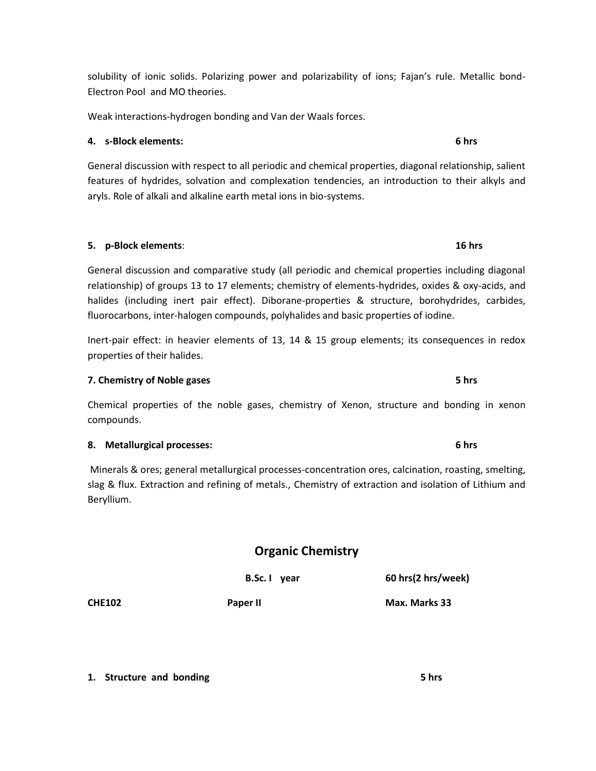solubility of ionic solids. Polarizing power and polarizability of ions; Fajan's rule. Metallic bond-Electron Pool and MO theories.

Weak interactions-hydrogen bonding and Van der Waals forces.

## **4. s-Block elements: 6 hrs**

General discussion with respect to all periodic and chemical properties, diagonal relationship, salient features of hydrides, solvation and complexation tendencies, an introduction to their alkyls and aryls. Role of alkali and alkaline earth metal ions in bio-systems.

General discussion and comparative study (all periodic and chemical properties including diagonal relationship) of groups 13 to 17 elements; chemistry of elements-hydrides, oxides & oxy-acids, and halides (including inert pair effect). Diborane-properties & structure, borohydrides, carbides, fluorocarbons, inter-halogen compounds, polyhalides and basic properties of iodine.

**5. p-Block elements**: **16 hrs**

Inert-pair effect: in heavier elements of 13, 14 & 15 group elements; its consequences in redox properties of their halides.

### **7. Chemistry of Noble gases 5 hrs**

Chemical properties of the noble gases, chemistry of Xenon, structure and bonding in xenon compounds.

# **8. Metallurgical processes: 6 hrs**

Minerals & ores; general metallurgical processes-concentration ores, calcination, roasting, smelting, slag & flux. Extraction and refining of metals., Chemistry of extraction and isolation of Lithium and Beryllium.

**Organic Chemistry**

|               | B.Sc. I year | 60 hrs(2 hrs/week) |
|---------------|--------------|--------------------|
| <b>CHE102</b> | Paper II     | Max. Marks 33      |

**1.** Structure and bonding 5 hrs **5** hrs **5** hrs **5** hrs **5** hrs **5** hrs **5** hrs **5** hrs **5** hrs **5** hrs **5** hrs **5** hrs **5** hrs **5** hrs **5** hrs **5** hrs **5** hrs **5** hrs **5** hrs **6 1**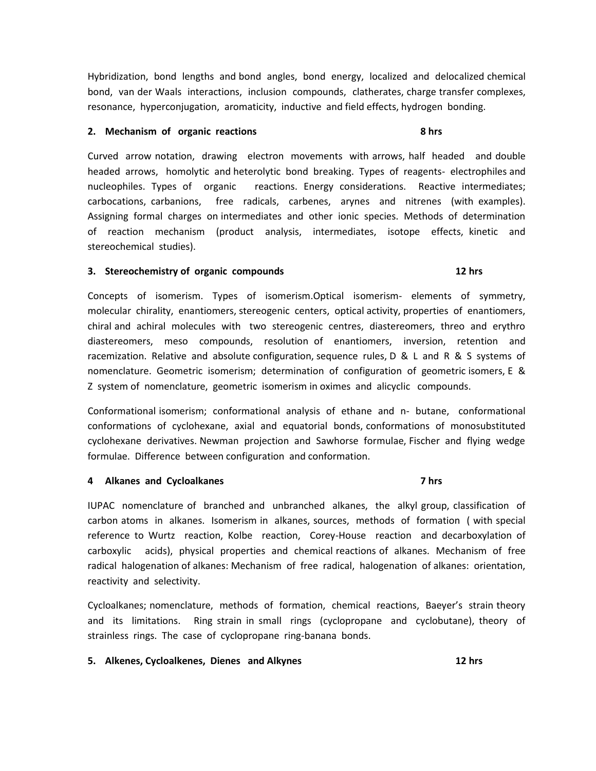Hybridization, bond lengths and bond angles, bond energy, localized and delocalized chemical bond, van der Waals interactions, inclusion compounds, clatherates, charge transfer complexes, resonance, hyperconjugation, aromaticity, inductive and field effects, hydrogen bonding.

### **2. Mechanism of organic reactions 8 hrs**

Curved arrow notation, drawing electron movements with arrows, half headed and double headed arrows, homolytic and heterolytic bond breaking. Types of reagents- electrophiles and nucleophiles. Types of organic reactions. Energy considerations. Reactive intermediates; carbocations, carbanions, free radicals, carbenes, arynes and nitrenes (with examples). Assigning formal charges on intermediates and other ionic species. Methods of determination of reaction mechanism (product analysis, intermediates, isotope effects, kinetic and stereochemical studies).

### **3. Stereochemistry of organic compounds 12 hrs**

Concepts of isomerism. Types of isomerism.Optical isomerism- elements of symmetry, molecular chirality, enantiomers, stereogenic centers, optical activity, properties of enantiomers, chiral and achiral molecules with two stereogenic centres, diastereomers, threo and erythro diastereomers, meso compounds, resolution of enantiomers, inversion, retention and racemization. Relative and absolute configuration, sequence rules,  $D \& L$  and R & S systems of nomenclature. Geometric isomerism; determination of configuration of geometric isomers, E & Z system of nomenclature, geometric isomerism in oximes and alicyclic compounds.

Conformational isomerism; conformational analysis of ethane and n- butane, conformational conformations of cyclohexane, axial and equatorial bonds, conformations of monosubstituted cyclohexane derivatives. Newman projection and Sawhorse formulae, Fischer and flying wedge formulae. Difference between configuration and conformation.

### **4 Alkanes and Cycloalkanes 7 hrs**

IUPAC nomenclature of branched and unbranched alkanes, the alkyl group, classification of carbon atoms in alkanes. Isomerism in alkanes, sources, methods of formation ( with special reference to Wurtz reaction, Kolbe reaction, Corey-House reaction and decarboxylation of carboxylic acids), physical properties and chemical reactions of alkanes. Mechanism of free radical halogenation of alkanes: Mechanism of free radical, halogenation of alkanes: orientation, reactivity and selectivity.

Cycloalkanes; nomenclature, methods of formation, chemical reactions, Baeyer's strain theory and its limitations. Ring strain in small rings (cyclopropane and cyclobutane), theory of strainless rings. The case of cyclopropane ring-banana bonds.

### **5. Alkenes, Cycloalkenes, Dienes and Alkynes 12 hrs**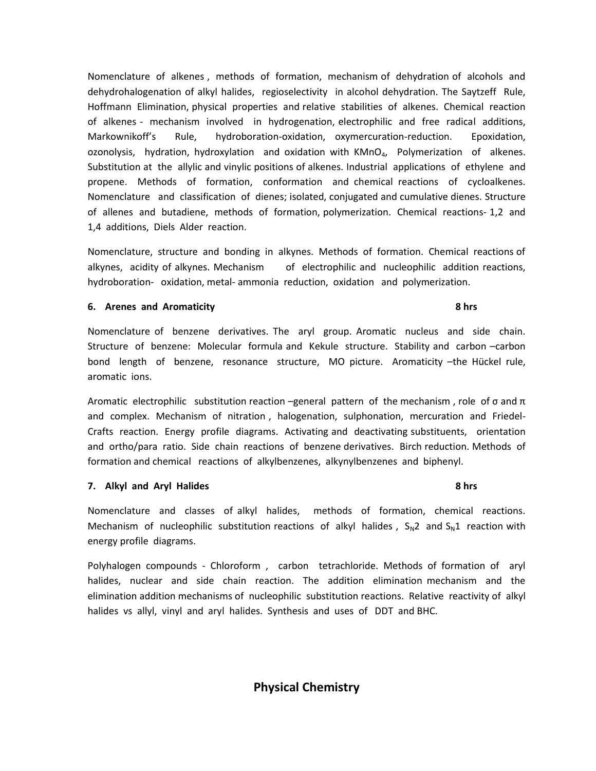Nomenclature of alkenes , methods of formation, mechanism of dehydration of alcohols and dehydrohalogenation of alkyl halides, regioselectivity in alcohol dehydration. The Saytzeff Rule, Hoffmann Elimination, physical properties and relative stabilities of alkenes. Chemical reaction of alkenes - mechanism involved in hydrogenation, electrophilic and free radical additions, Markownikoff's Rule, hydroboration-oxidation, oxymercuration-reduction. Epoxidation, ozonolysis, hydration, hydroxylation and oxidation with  $KMnO<sub>4</sub>$ , Polymerization of alkenes. Substitution at the allylic and vinylic positions of alkenes. Industrial applications of ethylene and propene. Methods of formation, conformation and chemical reactions of cycloalkenes. Nomenclature and classification of dienes; isolated, conjugated and cumulative dienes. Structure of allenes and butadiene, methods of formation, polymerization. Chemical reactions- 1,2 and 1,4 additions, Diels Alder reaction.

Nomenclature, structure and bonding in alkynes. Methods of formation. Chemical reactions of alkynes, acidity of alkynes. Mechanism of electrophilic and nucleophilic addition reactions, hydroboration- oxidation, metal- ammonia reduction, oxidation and polymerization.

### **6.** Arenes and Aromaticity **8 hrs 8 hrs 8 hrs 8 hrs**

Nomenclature of benzene derivatives. The aryl group. Aromatic nucleus and side chain. Structure of benzene: Molecular formula and Kekule structure. Stability and carbon –carbon bond length of benzene, resonance structure, MO picture. Aromaticity –the Hückel rule, aromatic ions.

Aromatic electrophilic substitution reaction –general pattern of the mechanism, role of  $\sigma$  and  $\pi$ and complex. Mechanism of nitration , halogenation, sulphonation, mercuration and Friedel-Crafts reaction. Energy profile diagrams. Activating and deactivating substituents, orientation and ortho/para ratio. Side chain reactions of benzene derivatives. Birch reduction. Methods of formation and chemical reactions of alkylbenzenes, alkynylbenzenes and biphenyl.

### **7.** Alkyl and Aryl Halides 8 hrs **8 hrs 8 hrs 8 hrs**

Nomenclature and classes of alkyl halides, methods of formation, chemical reactions. Mechanism of nucleophilic substitution reactions of alkyl halides,  $S_N^2$  and  $S_N^1$  reaction with energy profile diagrams.

Polyhalogen compounds - Chloroform , carbon tetrachloride. Methods of formation of aryl halides, nuclear and side chain reaction. The addition elimination mechanism and the elimination addition mechanisms of nucleophilic substitution reactions. Relative reactivity of alkyl halides vs allyl, vinyl and aryl halides. Synthesis and uses of DDT and BHC.

**Physical Chemistry**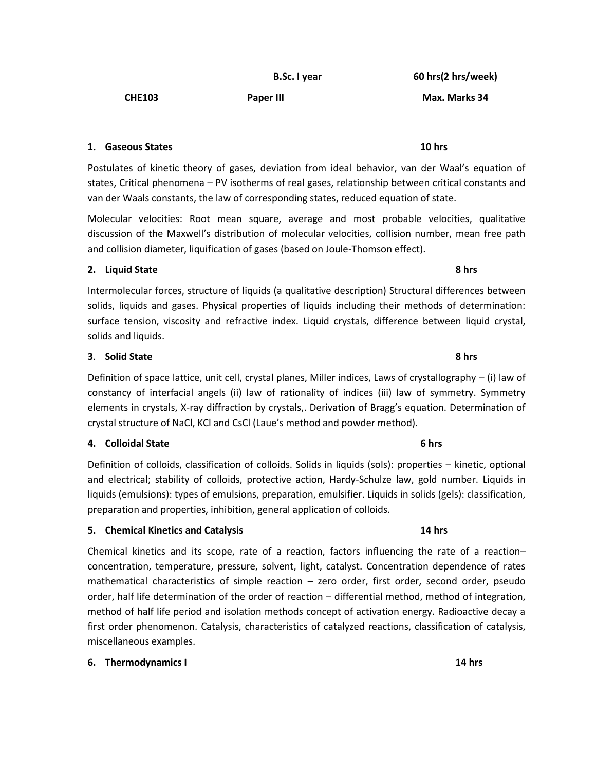**B.Sc. I year 60 hrs(2 hrs/week)**

**CHE103 Paper III Max. Marks 34**

**1. Gaseous States 10 hrs**

Postulates of kinetic theory of gases, deviation from ideal behavior, van der Waal's equation of states, Critical phenomena – PV isotherms of real gases, relationship between critical constants and van der Waals constants, the law of corresponding states, reduced equation of state.

Molecular velocities: Root mean square, average and most probable velocities, qualitative discussion of the Maxwell's distribution of molecular velocities, collision number, mean free path and collision diameter, liquification of gases (based on Joule-Thomson effect).

### **2. Liquid State 8 hrs**

Intermolecular forces, structure of liquids (a qualitative description) Structural differences between solids, liquids and gases. Physical properties of liquids including their methods of determination: surface tension, viscosity and refractive index. Liquid crystals, difference between liquid crystal, solids and liquids.

# **3**. **Solid State 8 hrs**

Definition of space lattice, unit cell, crystal planes, Miller indices, Laws of crystallography – (i) law of constancy of interfacial angels (ii) law of rationality of indices (iii) law of symmetry. Symmetry elements in crystals, X-ray diffraction by crystals,. Derivation of Bragg's equation. Determination of crystal structure of NaCl, KCl and CsCl (Laue's method and powder method).

### **4. Colloidal State 6 hrs**

Definition of colloids, classification of colloids. Solids in liquids (sols): properties – kinetic, optional and electrical; stability of colloids, protective action, Hardy-Schulze law, gold number. Liquids in liquids (emulsions): types of emulsions, preparation, emulsifier. Liquids in solids (gels): classification, preparation and properties, inhibition, general application of colloids.

# **5. Chemical Kinetics and Catalysis 14 hrs**

Chemical kinetics and its scope, rate of a reaction, factors influencing the rate of a reaction– concentration, temperature, pressure, solvent, light, catalyst. Concentration dependence of rates mathematical characteristics of simple reaction – zero order, first order, second order, pseudo order, half life determination of the order of reaction – differential method, method of integration, method of half life period and isolation methods concept of activation energy. Radioactive decay a first order phenomenon. Catalysis, characteristics of catalyzed reactions, classification of catalysis, miscellaneous examples.

### **6. Thermodynamics I 14 hrs**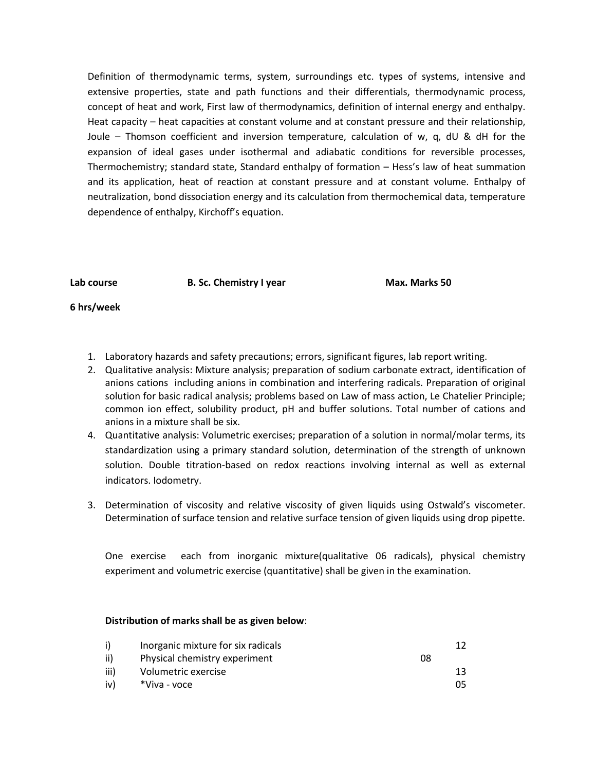Definition of thermodynamic terms, system, surroundings etc. types of systems, intensive and extensive properties, state and path functions and their differentials, thermodynamic process, concept of heat and work, First law of thermodynamics, definition of internal energy and enthalpy. Heat capacity – heat capacities at constant volume and at constant pressure and their relationship, Joule – Thomson coefficient and inversion temperature, calculation of w, q, dU & dH for the expansion of ideal gases under isothermal and adiabatic conditions for reversible processes, Thermochemistry; standard state, Standard enthalpy of formation – Hess's law of heat summation and its application, heat of reaction at constant pressure and at constant volume. Enthalpy of neutralization, bond dissociation energy and its calculation from thermochemical data, temperature dependence of enthalpy, Kirchoff's equation.

**Lab course B. Sc. Chemistry I year Max. Marks 50**

### **6 hrs/week**

- 1. Laboratory hazards and safety precautions; errors, significant figures, lab report writing.
- 2. Qualitative analysis: Mixture analysis; preparation of sodium carbonate extract, identification of anions cations including anions in combination and interfering radicals. Preparation of original solution for basic radical analysis; problems based on Law of mass action, Le Chatelier Principle; common ion effect, solubility product, pH and buffer solutions. Total number of cations and anions in a mixture shall be six.
- 4. Quantitative analysis: Volumetric exercises; preparation of a solution in normal/molar terms, its standardization using a primary standard solution, determination of the strength of unknown solution. Double titration-based on redox reactions involving internal as well as external indicators. Iodometry.
- 3. Determination of viscosity and relative viscosity of given liquids using Ostwald's viscometer. Determination of surface tension and relative surface tension of given liquids using drop pipette.

One exercise each from inorganic mixture(qualitative 06 radicals), physical chemistry experiment and volumetric exercise (quantitative) shall be given in the examination.

### **Distribution of marks shall be as given below**:

| i)   | Inorganic mixture for six radicals |    | 17 |
|------|------------------------------------|----|----|
| ii)  | Physical chemistry experiment      | 08 |    |
| iii) | Volumetric exercise                |    | 13 |
| iv)  | *Viva - voce                       |    | 05 |